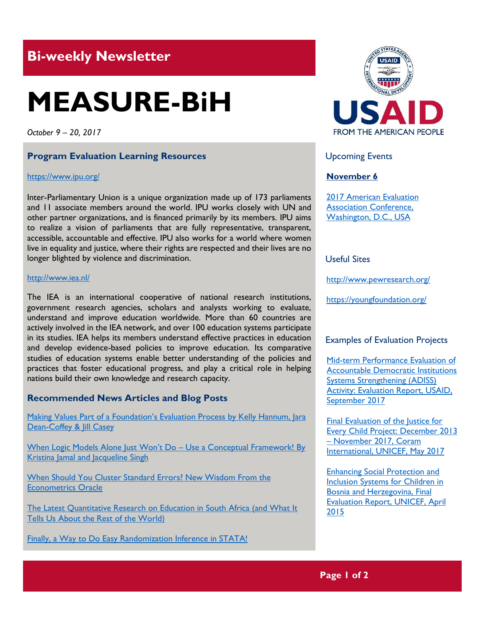# **Bi-weekly Newsletter**

# **MEASURE-BiH**

*October 9 – 20, 2017*

#### **Program Evaluation Learning Resources**

#### <https://www.ipu.org/>

Inter-Parliamentary Union is a unique organization made up of 173 parliaments and 11 associate members around the world. IPU works closely with UN and other partner organizations, and is financed primarily by its members. IPU aims to realize a vision of parliaments that are fully representative, transparent, accessible, accountable and effective. IPU also works for a world where women live in equality and justice, where their rights are respected and their lives are no longer blighted by violence and discrimination.

#### <http://www.iea.nl/>

The IEA is an international cooperative of national research institutions, government research agencies, scholars and analysts working to evaluate, understand and improve education worldwide. More than 60 countries are actively involved in the IEA network, and over 100 education systems participate in its studies. IEA helps its members understand effective practices in education and develop evidence-based policies to improve education. Its comparative studies of education systems enable better understanding of the policies and practices that foster educational progress, and play a critical role in helping nations build their own knowledge and research capacity.

#### **Recommended News Articles and Blog Posts**

Making Values Part of a Foundation's Evaluation Process by Kelly Hannum, Jara [Dean-Coffey & Jill Casey](http://aea365.org/blog/npf-tig-week-making-values-part-of-a-foundations-evaluation-process-by-kelly-hannum-jara-dean-coffey-jill-casey/?utm_source=feedburner&utm_medium=feed&utm_campaign=Feed%3A+aea365+%28AEA365%29)

[When Logic Models Alone Just Won](http://aea365.org/blog/npf-tig-week-when-logic-models-alone-just-wont-do-use-a-conceptual-framework-by-kristina-jamal-and-jacqueline-singh/)'t Do - Use a Conceptual Framework! By Kristina Jamal [and Jacqueline Singh](http://aea365.org/blog/npf-tig-week-when-logic-models-alone-just-wont-do-use-a-conceptual-framework-by-kristina-jamal-and-jacqueline-singh/)

[When Should You Cluster Standard Errors? New Wisdom From the](https://blogs.worldbank.org/impactevaluations/when-should-you-cluster-standard-errors-new-wisdom-econometrics-oracle)  [Econometrics Oracle](https://blogs.worldbank.org/impactevaluations/when-should-you-cluster-standard-errors-new-wisdom-econometrics-oracle)

[The Latest Quantitative Research on Education in South Africa \(and What It](https://blogs.worldbank.org/impactevaluations/latest-quantitative-research-education-south-africa-and-what-it-tells-us-about-rest-world)  [Tells Us About the Rest of the World](https://blogs.worldbank.org/impactevaluations/latest-quantitative-research-education-south-africa-and-what-it-tells-us-about-rest-world))

[Finally, a Way to Do Easy Randomization Inference in STATA!](https://blogs.worldbank.org/impactevaluations/finally-way-do-easy-randomization-inference-stata)



## Upcoming Events

#### **November 6**

[2017 American Evaluation](http://mande.co.uk/conferences/?event_id1=31)  [Association Conference,](http://mande.co.uk/conferences/?event_id1=31)  [Washington, D.C., USA](http://mande.co.uk/conferences/?event_id1=31)

# Useful Sites

<http://www.pewresearch.org/>

<https://youngfoundation.org/>

#### Examples of Evaluation Projects

[Mid-term Performance Evaluation of](http://pdf.usaid.gov/pdf_docs/pa00n24f.pdf)  [Accountable Democratic Institutions](http://pdf.usaid.gov/pdf_docs/pa00n24f.pdf)  [Systems Strengthening](http://pdf.usaid.gov/pdf_docs/pa00n24f.pdf) (ADISS) [Activity: Evaluation Report, USAID,](http://pdf.usaid.gov/pdf_docs/pa00n24f.pdf)  [September 2017](http://pdf.usaid.gov/pdf_docs/pa00n24f.pdf)

Final Evaluation of the Justice for [Every Child Project: December 2013](https://www.unicef.org/evaldatabase/index_100954.html)  – [November 2017, Coram](https://www.unicef.org/evaldatabase/index_100954.html)  [International, UNICEF, May 2017](https://www.unicef.org/evaldatabase/index_100954.html)

[Enhancing Social Protection and](https://www.unicef.org/evaldatabase/files/SPIS_EVALUATION_Report_BnH_2015-001.pdf)  [Inclusion Systems for Children in](https://www.unicef.org/evaldatabase/files/SPIS_EVALUATION_Report_BnH_2015-001.pdf)  [Bosnia and Herzegovina, Final](https://www.unicef.org/evaldatabase/files/SPIS_EVALUATION_Report_BnH_2015-001.pdf)  [Evaluation Report, UNICEF, April](https://www.unicef.org/evaldatabase/files/SPIS_EVALUATION_Report_BnH_2015-001.pdf)  [2015](https://www.unicef.org/evaldatabase/files/SPIS_EVALUATION_Report_BnH_2015-001.pdf)